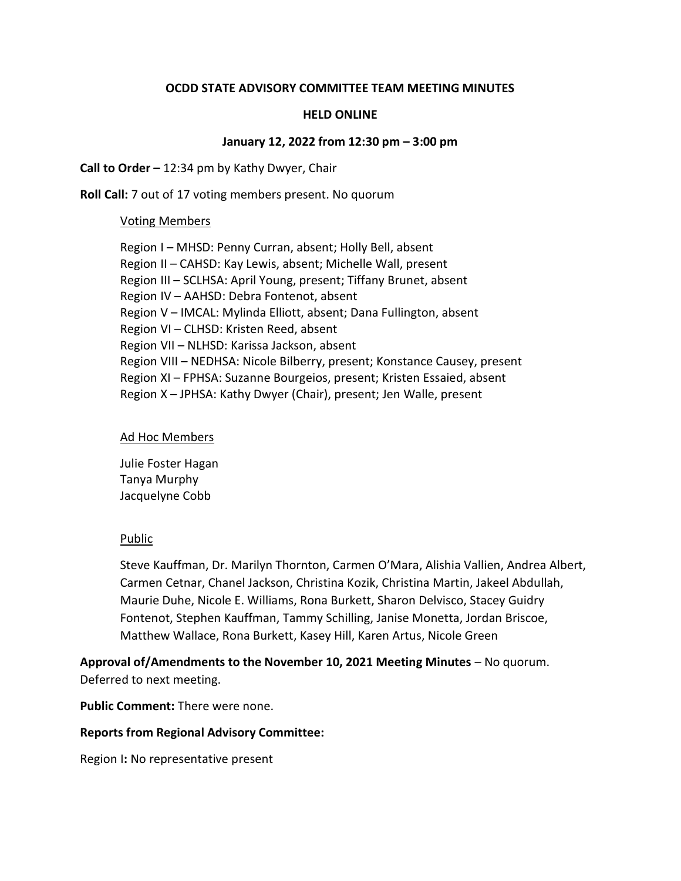### OCDD STATE ADVISORY COMMITTEE TEAM MEETING MINUTES

### HELD ONLINE

#### January 12, 2022 from 12:30 pm – 3:00 pm

### Call to Order – 12:34 pm by Kathy Dwyer, Chair

Roll Call: 7 out of 17 voting members present. No quorum

#### Voting Members

Region I – MHSD: Penny Curran, absent; Holly Bell, absent Region II – CAHSD: Kay Lewis, absent; Michelle Wall, present Region III – SCLHSA: April Young, present; Tiffany Brunet, absent Region IV – AAHSD: Debra Fontenot, absent Region V – IMCAL: Mylinda Elliott, absent; Dana Fullington, absent Region VI – CLHSD: Kristen Reed, absent Region VII – NLHSD: Karissa Jackson, absent Region VIII – NEDHSA: Nicole Bilberry, present; Konstance Causey, present Region XI – FPHSA: Suzanne Bourgeios, present; Kristen Essaied, absent Region X – JPHSA: Kathy Dwyer (Chair), present; Jen Walle, present

### Ad Hoc Members

Julie Foster Hagan Tanya Murphy Jacquelyne Cobb

## Public

Steve Kauffman, Dr. Marilyn Thornton, Carmen O'Mara, Alishia Vallien, Andrea Albert, Carmen Cetnar, Chanel Jackson, Christina Kozik, Christina Martin, Jakeel Abdullah, Maurie Duhe, Nicole E. Williams, Rona Burkett, Sharon Delvisco, Stacey Guidry Fontenot, Stephen Kauffman, Tammy Schilling, Janise Monetta, Jordan Briscoe, Matthew Wallace, Rona Burkett, Kasey Hill, Karen Artus, Nicole Green

Approval of/Amendments to the November 10, 2021 Meeting Minutes – No quorum. Deferred to next meeting.

Public Comment: There were none.

## Reports from Regional Advisory Committee:

Region I: No representative present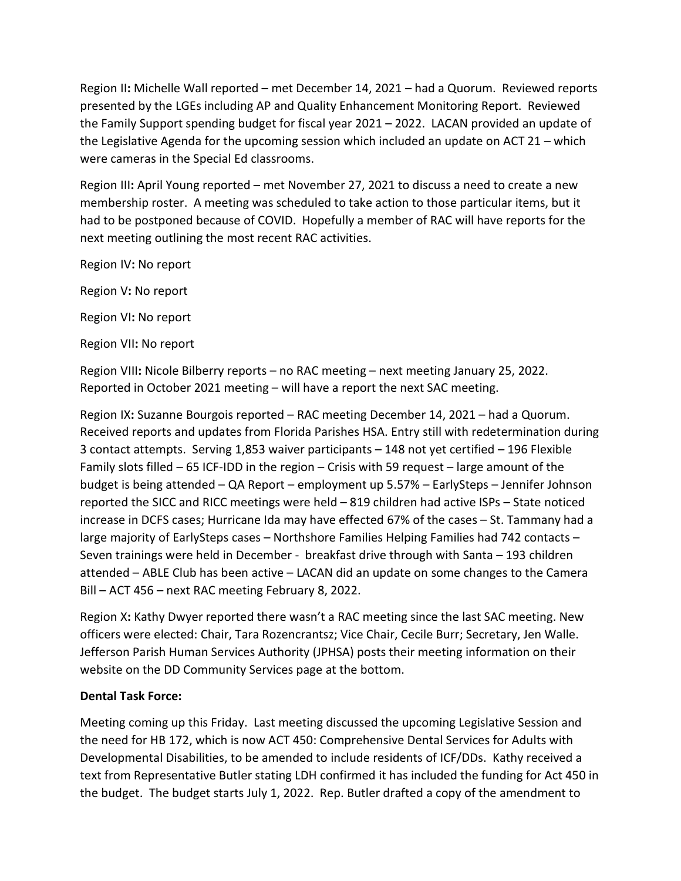Region II: Michelle Wall reported – met December 14, 2021 – had a Quorum. Reviewed reports presented by the LGEs including AP and Quality Enhancement Monitoring Report. Reviewed the Family Support spending budget for fiscal year 2021 – 2022. LACAN provided an update of the Legislative Agenda for the upcoming session which included an update on ACT 21 – which were cameras in the Special Ed classrooms.

Region III: April Young reported – met November 27, 2021 to discuss a need to create a new membership roster. A meeting was scheduled to take action to those particular items, but it had to be postponed because of COVID. Hopefully a member of RAC will have reports for the next meeting outlining the most recent RAC activities.

Region IV: No report

Region V: No report

Region VI: No report

Region VII: No report

Region VIII: Nicole Bilberry reports – no RAC meeting – next meeting January 25, 2022. Reported in October 2021 meeting – will have a report the next SAC meeting.

Region IX: Suzanne Bourgois reported – RAC meeting December 14, 2021 – had a Quorum. Received reports and updates from Florida Parishes HSA. Entry still with redetermination during 3 contact attempts. Serving 1,853 waiver participants – 148 not yet certified – 196 Flexible Family slots filled – 65 ICF-IDD in the region – Crisis with 59 request – large amount of the budget is being attended – QA Report – employment up 5.57% – EarlySteps – Jennifer Johnson reported the SICC and RICC meetings were held – 819 children had active ISPs – State noticed increase in DCFS cases; Hurricane Ida may have effected 67% of the cases – St. Tammany had a large majority of EarlySteps cases – Northshore Families Helping Families had 742 contacts – Seven trainings were held in December - breakfast drive through with Santa – 193 children attended – ABLE Club has been active – LACAN did an update on some changes to the Camera Bill – ACT 456 – next RAC meeting February 8, 2022.

Region X: Kathy Dwyer reported there wasn't a RAC meeting since the last SAC meeting. New officers were elected: Chair, Tara Rozencrantsz; Vice Chair, Cecile Burr; Secretary, Jen Walle. Jefferson Parish Human Services Authority (JPHSA) posts their meeting information on their website on the DD Community Services page at the bottom.

## Dental Task Force:

Meeting coming up this Friday. Last meeting discussed the upcoming Legislative Session and the need for HB 172, which is now ACT 450: Comprehensive Dental Services for Adults with Developmental Disabilities, to be amended to include residents of ICF/DDs. Kathy received a text from Representative Butler stating LDH confirmed it has included the funding for Act 450 in the budget. The budget starts July 1, 2022. Rep. Butler drafted a copy of the amendment to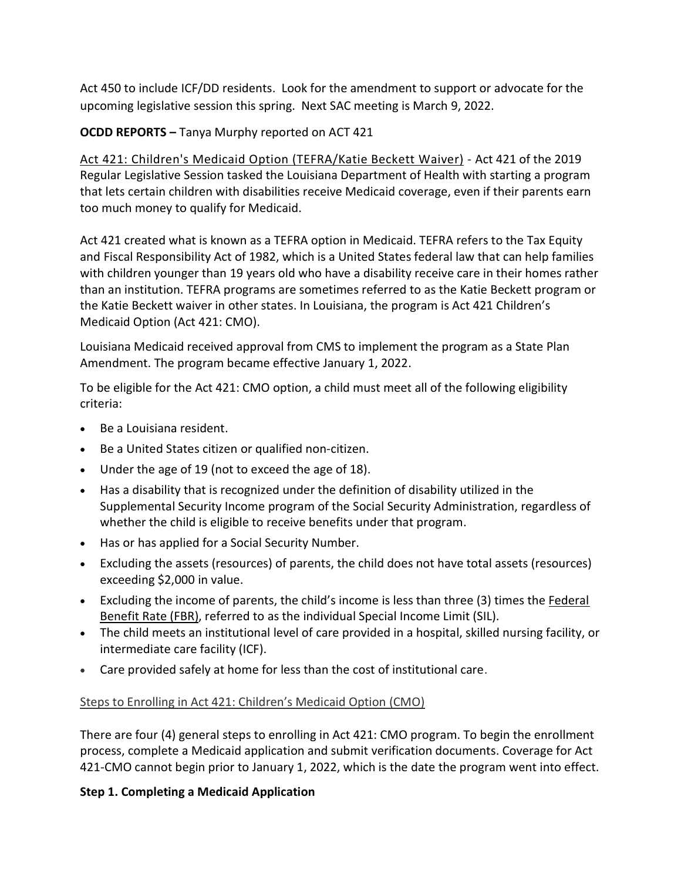Act 450 to include ICF/DD residents. Look for the amendment to support or advocate for the upcoming legislative session this spring. Next SAC meeting is March 9, 2022.

OCDD REPORTS – Tanya Murphy reported on ACT 421

Act 421: Children's Medicaid Option (TEFRA/Katie Beckett Waiver) - Act 421 of the 2019 Regular Legislative Session tasked the Louisiana Department of Health with starting a program that lets certain children with disabilities receive Medicaid coverage, even if their parents earn too much money to qualify for Medicaid.

Act 421 created what is known as a TEFRA option in Medicaid. TEFRA refers to the Tax Equity and Fiscal Responsibility Act of 1982, which is a United States federal law that can help families with children younger than 19 years old who have a disability receive care in their homes rather than an institution. TEFRA programs are sometimes referred to as the Katie Beckett program or the Katie Beckett waiver in other states. In Louisiana, the program is Act 421 Children's Medicaid Option (Act 421: CMO).

Louisiana Medicaid received approval from CMS to implement the program as a State Plan Amendment. The program became effective January 1, 2022.

To be eligible for the Act 421: CMO option, a child must meet all of the following eligibility criteria:

- Be a Louisiana resident.
- Be a United States citizen or qualified non-citizen.
- Under the age of 19 (not to exceed the age of 18).
- Has a disability that is recognized under the definition of disability utilized in the Supplemental Security Income program of the Social Security Administration, regardless of whether the child is eligible to receive benefits under that program.
- Has or has applied for a Social Security Number.
- Excluding the assets (resources) of parents, the child does not have total assets (resources) exceeding \$2,000 in value.
- Excluding the income of parents, the child's income is less than three (3) times the Federal Benefit Rate (FBR), referred to as the individual Special Income Limit (SIL).
- The child meets an institutional level of care provided in a hospital, skilled nursing facility, or intermediate care facility (ICF).
- Care provided safely at home for less than the cost of institutional care.

## Steps to Enrolling in Act 421: Children's Medicaid Option (CMO)

There are four (4) general steps to enrolling in Act 421: CMO program. To begin the enrollment process, complete a Medicaid application and submit verification documents. Coverage for Act 421-CMO cannot begin prior to January 1, 2022, which is the date the program went into effect.

## Step 1. Completing a Medicaid Application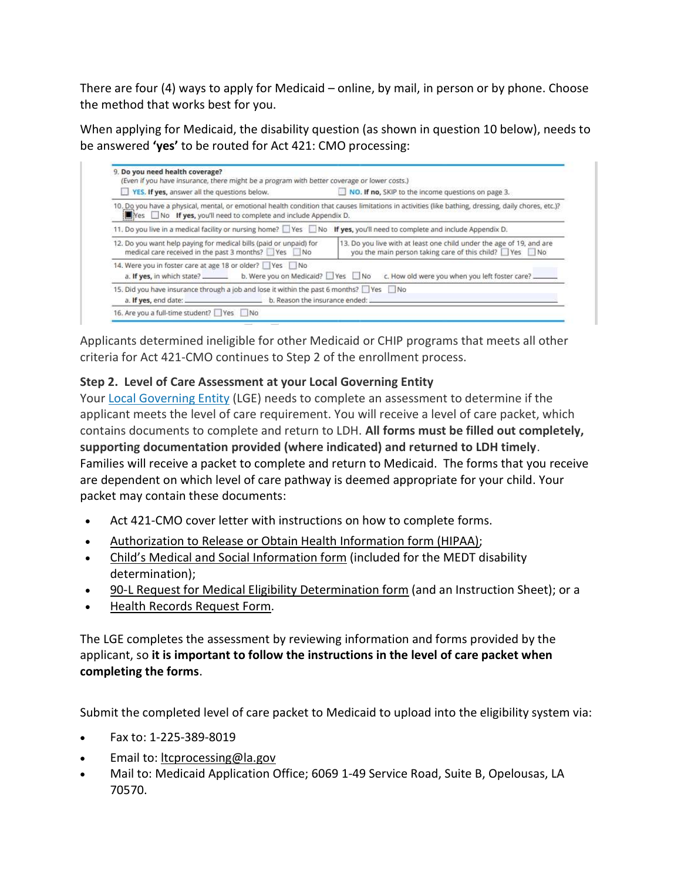There are four (4) ways to apply for Medicaid – online, by mail, in person or by phone. Choose the method that works best for you.

When applying for Medicaid, the disability question (as shown in question 10 below), needs to be answered 'yes' to be routed for Act 421: CMO processing:

| YES. If yes, answer all the questions below.                                                                             | NO. If no, SKIP to the income questions on page 3.                                                                                                    |
|--------------------------------------------------------------------------------------------------------------------------|-------------------------------------------------------------------------------------------------------------------------------------------------------|
| Yes No If yes, you'll need to complete and include Appendix D.                                                           | 10. Do you have a physical, mental, or emotional health condition that causes limitations in activities (like bathing, dressing, daily chores, etc.)? |
| 11. Do you live in a medical facility or nursing home? Yes No If yes, you'll need to complete and include Appendix D.    |                                                                                                                                                       |
| 12. Do you want help paying for medical bills (paid or unpaid) for<br>medical care received in the past 3 months? Yes No | 13. Do you live with at least one child under the age of 19, and are<br>you the main person taking care of this child? Ves No                         |
| 14. Were you in foster care at age 18 or older? Yes No                                                                   | a. If yes, in which state? _______ b. Were you on Medicaid? U Yes U No c. How old were you when you left foster care?                                 |
| 15. Did you have insurance through a job and lose it within the past 6 months? If Yes                                    |                                                                                                                                                       |

Applicants determined ineligible for other Medicaid or CHIP programs that meets all other criteria for Act 421-CMO continues to Step 2 of the enrollment process.

# Step 2. Level of Care Assessment at your Local Governing Entity

Your Local Governing Entity (LGE) needs to complete an assessment to determine if the applicant meets the level of care requirement. You will receive a level of care packet, which contains documents to complete and return to LDH. All forms must be filled out completely, supporting documentation provided (where indicated) and returned to LDH timely. Families will receive a packet to complete and return to Medicaid. The forms that you receive are dependent on which level of care pathway is deemed appropriate for your child. Your packet may contain these documents:

- Act 421-CMO cover letter with instructions on how to complete forms.
- Authorization to Release or Obtain Health Information form (HIPAA);
- Child's Medical and Social Information form (included for the MEDT disability determination);
- 90-L Request for Medical Eligibility Determination form (and an Instruction Sheet); or a
- Health Records Request Form.

The LGE completes the assessment by reviewing information and forms provided by the applicant, so it is important to follow the instructions in the level of care packet when completing the forms.

Submit the completed level of care packet to Medicaid to upload into the eligibility system via:

- Fax to: 1-225-389-8019
- Email to: *ltcprocessing@la.gov*
- Mail to: Medicaid Application Office; 6069 1-49 Service Road, Suite B, Opelousas, LA 70570.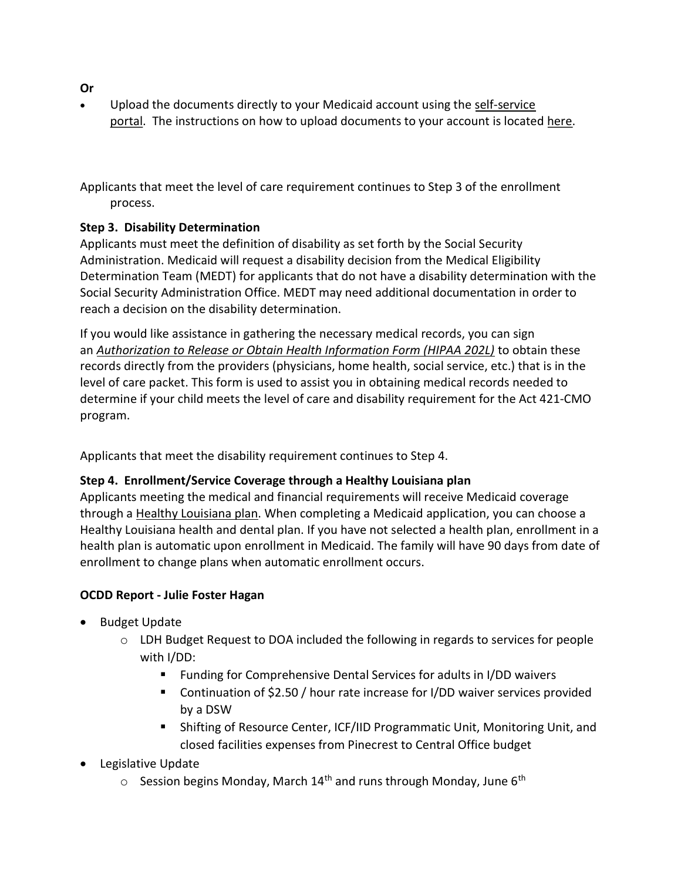- Or
- Upload the documents directly to your Medicaid account using the self-service portal. The instructions on how to upload documents to your account is located here.

Applicants that meet the level of care requirement continues to Step 3 of the enrollment process.

## Step 3. Disability Determination

Applicants must meet the definition of disability as set forth by the Social Security Administration. Medicaid will request a disability decision from the Medical Eligibility Determination Team (MEDT) for applicants that do not have a disability determination with the Social Security Administration Office. MEDT may need additional documentation in order to reach a decision on the disability determination.

If you would like assistance in gathering the necessary medical records, you can sign an Authorization to Release or Obtain Health Information Form (HIPAA 202L) to obtain these records directly from the providers (physicians, home health, social service, etc.) that is in the level of care packet. This form is used to assist you in obtaining medical records needed to determine if your child meets the level of care and disability requirement for the Act 421-CMO program.

Applicants that meet the disability requirement continues to Step 4.

# Step 4. Enrollment/Service Coverage through a Healthy Louisiana plan

Applicants meeting the medical and financial requirements will receive Medicaid coverage through a Healthy Louisiana plan. When completing a Medicaid application, you can choose a Healthy Louisiana health and dental plan. If you have not selected a health plan, enrollment in a health plan is automatic upon enrollment in Medicaid. The family will have 90 days from date of enrollment to change plans when automatic enrollment occurs.

# OCDD Report - Julie Foster Hagan

- Budget Update
	- o LDH Budget Request to DOA included the following in regards to services for people with I/DD:
		- Funding for Comprehensive Dental Services for adults in I/DD waivers
		- Continuation of \$2.50 / hour rate increase for I/DD waiver services provided by a DSW
		- Shifting of Resource Center, ICF/IID Programmatic Unit, Monitoring Unit, and closed facilities expenses from Pinecrest to Central Office budget
- Legislative Update
	- $\circ$  Session begins Monday, March 14<sup>th</sup> and runs through Mondav. June 6<sup>th</sup>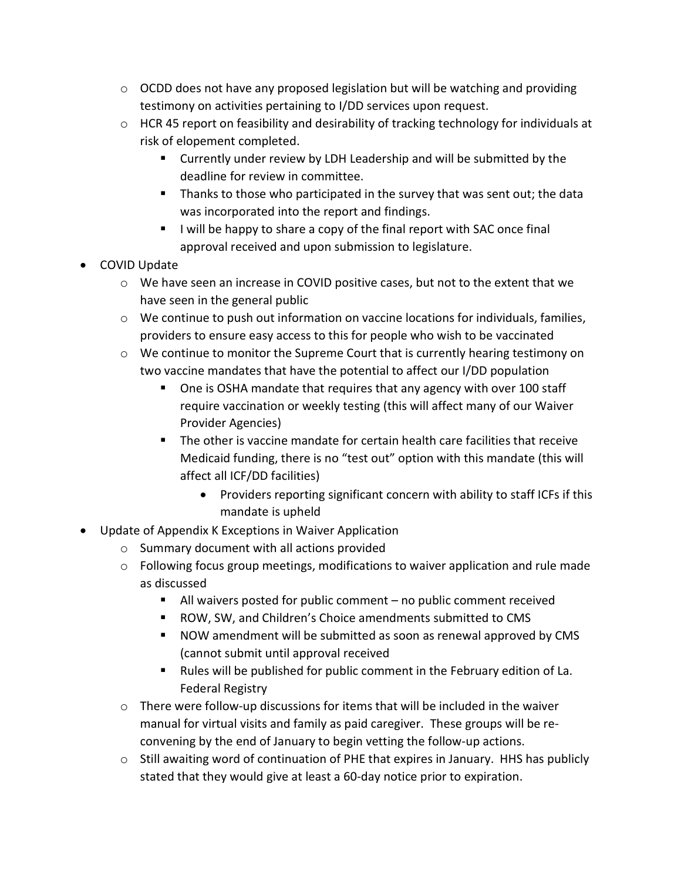- $\circ$  OCDD does not have any proposed legislation but will be watching and providing testimony on activities pertaining to I/DD services upon request.
- $\circ$  HCR 45 report on feasibility and desirability of tracking technology for individuals at risk of elopement completed.
	- **EXTERGHTM** Currently under review by LDH Leadership and will be submitted by the deadline for review in committee.
	- **Thanks to those who participated in the survey that was sent out; the data** was incorporated into the report and findings.
	- I will be happy to share a copy of the final report with SAC once final approval received and upon submission to legislature.
- COVID Update
	- $\circ$  We have seen an increase in COVID positive cases, but not to the extent that we have seen in the general public
	- o We continue to push out information on vaccine locations for individuals, families, providers to ensure easy access to this for people who wish to be vaccinated
	- $\circ$  We continue to monitor the Supreme Court that is currently hearing testimony on two vaccine mandates that have the potential to affect our I/DD population
		- One is OSHA mandate that requires that any agency with over 100 staff require vaccination or weekly testing (this will affect many of our Waiver Provider Agencies)
		- The other is vaccine mandate for certain health care facilities that receive Medicaid funding, there is no "test out" option with this mandate (this will affect all ICF/DD facilities)
			- Providers reporting significant concern with ability to staff ICFs if this mandate is upheld
- Update of Appendix K Exceptions in Waiver Application
	- o Summary document with all actions provided
	- $\circ$  Following focus group meetings, modifications to waiver application and rule made as discussed
		- All waivers posted for public comment no public comment received
		- ROW, SW, and Children's Choice amendments submitted to CMS
		- NOW amendment will be submitted as soon as renewal approved by CMS (cannot submit until approval received
		- Rules will be published for public comment in the February edition of La. Federal Registry
	- $\circ$  There were follow-up discussions for items that will be included in the waiver manual for virtual visits and family as paid caregiver. These groups will be reconvening by the end of January to begin vetting the follow-up actions.
	- $\circ$  Still awaiting word of continuation of PHE that expires in January. HHS has publicly stated that they would give at least a 60-day notice prior to expiration.